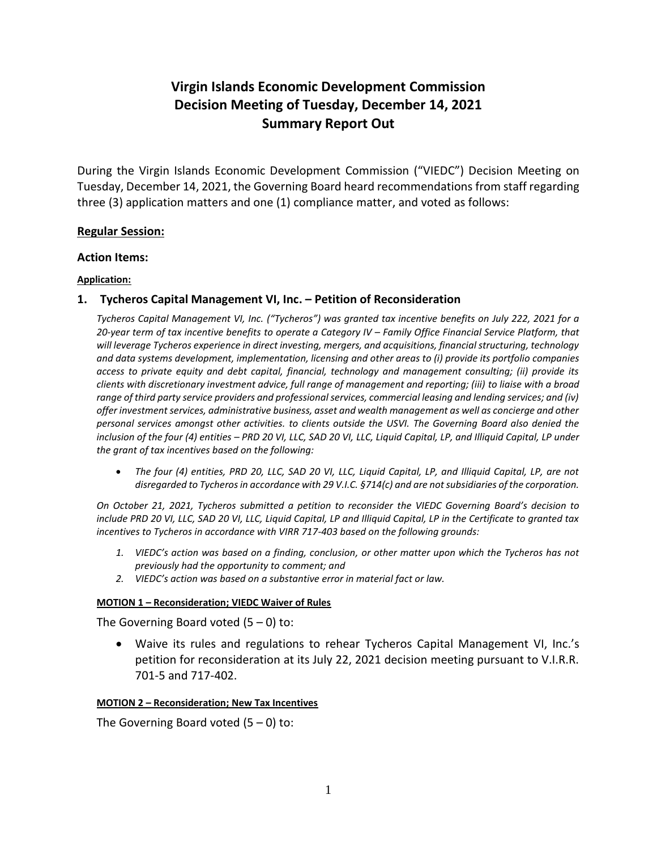# **Virgin Islands Economic Development Commission Decision Meeting of Tuesday, December 14, 2021 Summary Report Out**

During the Virgin Islands Economic Development Commission ("VIEDC") Decision Meeting on Tuesday, December 14, 2021, the Governing Board heard recommendations from staff regarding three (3) application matters and one (1) compliance matter, and voted as follows:

#### **Regular Session:**

#### **Action Items:**

#### **Application:**

## **1. Tycheros Capital Management VI, Inc. – Petition of Reconsideration**

*Tycheros Capital Management VI, Inc. ("Tycheros") was granted tax incentive benefits on July 222, 2021 for a*  20-year term of tax incentive benefits to operate a Category IV – Family Office Financial Service Platform, that *will leverage Tycheros experience in direct investing, mergers, and acquisitions, financial structuring, technology and data systems development, implementation, licensing and other areas to (i) provide its portfolio companies access to private equity and debt capital, financial, technology and management consulting; (ii) provide its clients with discretionary investment advice, full range of management and reporting; (iii) to liaise with a broad range of third party service providers and professional services, commercial leasing and lending services; and (iv) offer investment services, administrative business, asset and wealth management as well as concierge and other personal services amongst other activities. to clients outside the USVI. The Governing Board also denied the inclusion of the four (4) entities – PRD 20 VI, LLC, SAD 20 VI, LLC, Liquid Capital, LP, and Illiquid Capital, LP under the grant of tax incentives based on the following:* 

 *The four (4) entities, PRD 20, LLC, SAD 20 VI, LLC, Liquid Capital, LP, and Illiquid Capital, LP, are not disregarded to Tycheros in accordance with 29 V.I.C. §714(c) and are not subsidiaries of the corporation.* 

*On October 21, 2021, Tycheros submitted a petition to reconsider the VIEDC Governing Board's decision to include PRD 20 VI, LLC, SAD 20 VI, LLC, Liquid Capital, LP and Illiquid Capital, LP in the Certificate to granted tax incentives to Tycheros in accordance with VIRR 717-403 based on the following grounds:* 

- *1. VIEDC's action was based on a finding, conclusion, or other matter upon which the Tycheros has not previously had the opportunity to comment; and*
- *2. VIEDC's action was based on a substantive error in material fact or law.*

#### **MOTION 1 – Reconsideration; VIEDC Waiver of Rules**

The Governing Board voted  $(5 - 0)$  to:

 Waive its rules and regulations to rehear Tycheros Capital Management VI, Inc.'s petition for reconsideration at its July 22, 2021 decision meeting pursuant to V.I.R.R. 701-5 and 717-402.

#### **MOTION 2 – Reconsideration; New Tax Incentives**

The Governing Board voted  $(5 - 0)$  to: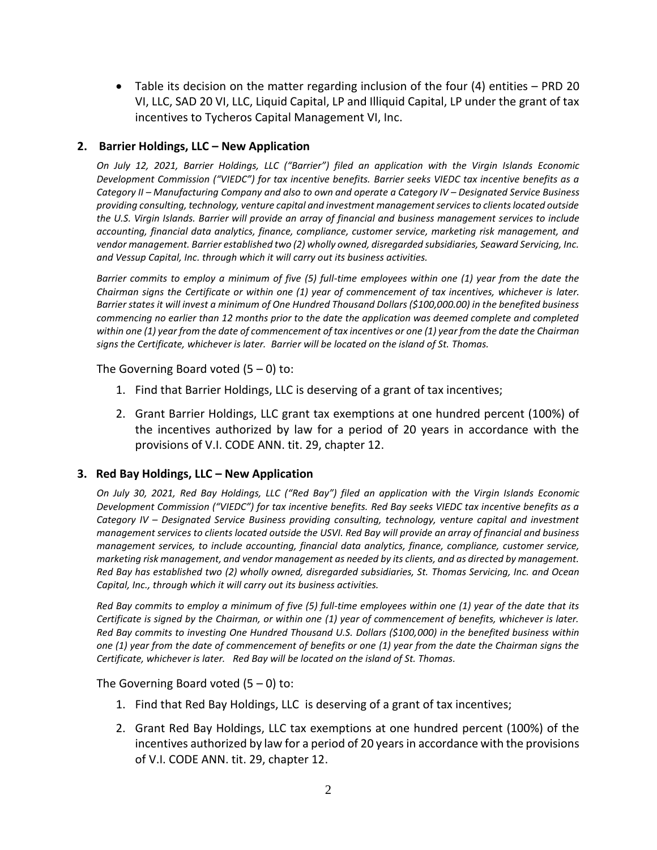Table its decision on the matter regarding inclusion of the four (4) entities – PRD 20 VI, LLC, SAD 20 VI, LLC, Liquid Capital, LP and Illiquid Capital, LP under the grant of tax incentives to Tycheros Capital Management VI, Inc.

## **2. Barrier Holdings, LLC – New Application**

*On July 12, 2021, Barrier Holdings, LLC ("Barrier") filed an application with the Virgin Islands Economic Development Commission ("VIEDC") for tax incentive benefits. Barrier seeks VIEDC tax incentive benefits as a Category II – Manufacturing Company and also to own and operate a Category IV – Designated Service Business providing consulting, technology, venture capital and investment management services to clients located outside the U.S. Virgin Islands. Barrier will provide an array of financial and business management services to include accounting, financial data analytics, finance, compliance, customer service, marketing risk management, and vendor management. Barrier established two (2) wholly owned, disregarded subsidiaries, Seaward Servicing, Inc. and Vessup Capital, Inc. through which it will carry out its business activities.*

*Barrier commits to employ a minimum of five (5) full-time employees within one (1) year from the date the Chairman signs the Certificate or within one (1) year of commencement of tax incentives, whichever is later. Barrier states it will invest a minimum of One Hundred Thousand Dollars (\$100,000.00) in the benefited business commencing no earlier than 12 months prior to the date the application was deemed complete and completed within one (1) year from the date of commencement of tax incentives or one (1) year from the date the Chairman signs the Certificate, whichever is later. Barrier will be located on the island of St. Thomas.*

The Governing Board voted  $(5 - 0)$  to:

- 1. Find that Barrier Holdings, LLC is deserving of a grant of tax incentives;
- 2. Grant Barrier Holdings, LLC grant tax exemptions at one hundred percent (100%) of the incentives authorized by law for a period of 20 years in accordance with the provisions of V.I. CODE ANN. tit. 29, chapter 12.

## **3. Red Bay Holdings, LLC – New Application**

*On July 30, 2021, Red Bay Holdings, LLC ("Red Bay") filed an application with the Virgin Islands Economic Development Commission ("VIEDC") for tax incentive benefits. Red Bay seeks VIEDC tax incentive benefits as a Category IV – Designated Service Business providing consulting, technology, venture capital and investment management services to clients located outside the USVI. Red Bay will provide an array of financial and business management services, to include accounting, financial data analytics, finance, compliance, customer service, marketing risk management, and vendor management as needed by its clients, and as directed by management. Red Bay has established two (2) wholly owned, disregarded subsidiaries, St. Thomas Servicing, Inc. and Ocean Capital, Inc., through which it will carry out its business activities.*

*Red Bay commits to employ a minimum of five (5) full-time employees within one (1) year of the date that its Certificate is signed by the Chairman, or within one (1) year of commencement of benefits, whichever is later. Red Bay commits to investing One Hundred Thousand U.S. Dollars (\$100,000) in the benefited business within one (1) year from the date of commencement of benefits or one (1) year from the date the Chairman signs the Certificate, whichever is later. Red Bay will be located on the island of St. Thomas.*

The Governing Board voted  $(5 - 0)$  to:

- 1. Find that Red Bay Holdings, LLC is deserving of a grant of tax incentives;
- 2. Grant Red Bay Holdings, LLC tax exemptions at one hundred percent (100%) of the incentives authorized by law for a period of 20 years in accordance with the provisions of V.I. CODE ANN. tit. 29, chapter 12.